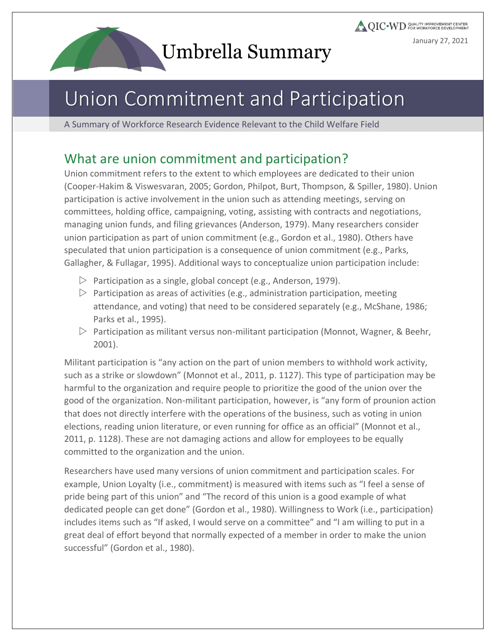# Umbrella Summary

# Union Commitment and Participation

A Summary of Workforce Research Evidence Relevant to the Child Welfare Field

### What are union commitment and participation?

Union commitment refers to the extent to which employees are dedicated to their union (Cooper-Hakim & Viswesvaran, 2005; Gordon, Philpot, Burt, Thompson, & Spiller, 1980). Union participation is active involvement in the union such as attending meetings, serving on committees, holding office, campaigning, voting, assisting with contracts and negotiations, managing union funds, and filing grievances (Anderson, 1979). Many researchers consider union participation as part of union commitment (e.g., Gordon et al., 1980). Others have speculated that union participation is a consequence of union commitment (e.g., Parks, Gallagher, & Fullagar, 1995). Additional ways to conceptualize union participation include:

- $\triangleright$  Participation as a single, global concept (e.g., Anderson, 1979).
- $\triangleright$  Participation as areas of activities (e.g., administration participation, meeting attendance, and voting) that need to be considered separately (e.g., McShane, 1986; Parks et al., 1995).
- $\triangleright$  Participation as militant versus non-militant participation (Monnot, Wagner, & Beehr, 2001).

Militant participation is "any action on the part of union members to withhold work activity, such as a strike or slowdown" (Monnot et al., 2011, p. 1127). This type of participation may be harmful to the organization and require people to prioritize the good of the union over the good of the organization. Non-militant participation, however, is "any form of prounion action that does not directly interfere with the operations of the business, such as voting in union elections, reading union literature, or even running for office as an official" (Monnot et al., 2011, p. 1128). These are not damaging actions and allow for employees to be equally committed to the organization and the union.

Researchers have used many versions of union commitment and participation scales. For example, Union Loyalty (i.e., commitment) is measured with items such as "I feel a sense of pride being part of this union" and "The record of this union is a good example of what dedicated people can get done" (Gordon et al., 1980). Willingness to Work (i.e., participation) includes items such as "If asked, I would serve on a committee" and "I am willing to put in a great deal of effort beyond that normally expected of a member in order to make the union successful" (Gordon et al., 1980).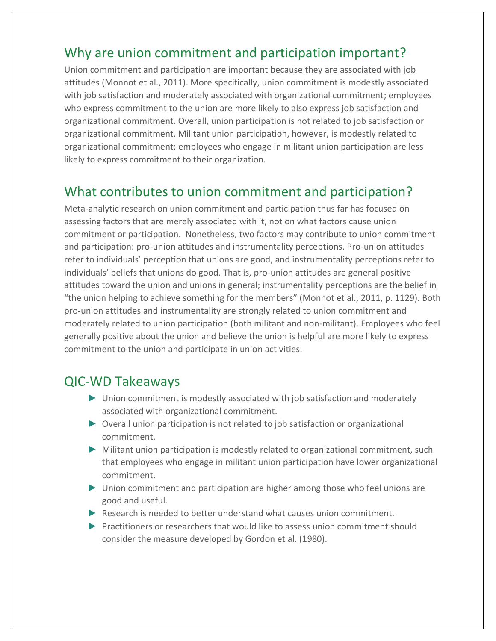### Why are union commitment and participation important?

Union commitment and participation are important because they are associated with job attitudes (Monnot et al., 2011). More specifically, union commitment is modestly associated with job satisfaction and moderately associated with organizational commitment; employees who express commitment to the union are more likely to also express job satisfaction and organizational commitment. Overall, union participation is not related to job satisfaction or organizational commitment. Militant union participation, however, is modestly related to organizational commitment; employees who engage in militant union participation are less likely to express commitment to their organization.

## What contributes to union commitment and participation?

Meta-analytic research on union commitment and participation thus far has focused on assessing factors that are merely associated with it, not on what factors cause union commitment or participation. Nonetheless, two factors may contribute to union commitment and participation: pro-union attitudes and instrumentality perceptions. Pro-union attitudes refer to individuals' perception that unions are good, and instrumentality perceptions refer to individuals' beliefs that unions do good. That is, pro-union attitudes are general positive attitudes toward the union and unions in general; instrumentality perceptions are the belief in "the union helping to achieve something for the members" (Monnot et al., 2011, p. 1129). Both pro-union attitudes and instrumentality are strongly related to union commitment and moderately related to union participation (both militant and non-militant). Employees who feel generally positive about the union and believe the union is helpful are more likely to express commitment to the union and participate in union activities.

#### QIC-WD Takeaways

- ► Union commitment is modestly associated with job satisfaction and moderately associated with organizational commitment.
- ► Overall union participation is not related to job satisfaction or organizational commitment.
- ► Militant union participation is modestly related to organizational commitment, such that employees who engage in militant union participation have lower organizational commitment.
- ► Union commitment and participation are higher among those who feel unions are good and useful.
- ► Research is needed to better understand what causes union commitment.
- ► Practitioners or researchers that would like to assess union commitment should consider the measure developed by Gordon et al. (1980).